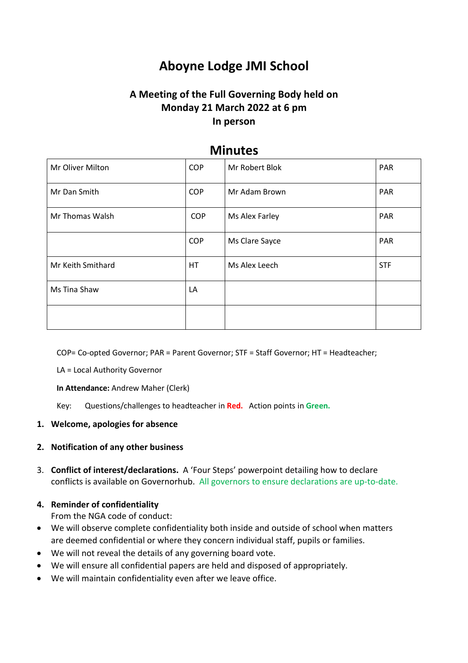# **Aboyne Lodge JMI School**

# **A Meeting of the Full Governing Body held on Monday 21 March 2022 at 6 pm In person**

| Mr Oliver Milton  | <b>COP</b> | Mr Robert Blok | PAR        |
|-------------------|------------|----------------|------------|
| Mr Dan Smith      | <b>COP</b> | Mr Adam Brown  | <b>PAR</b> |
| Mr Thomas Walsh   | <b>COP</b> | Ms Alex Farley | PAR        |
|                   | <b>COP</b> | Ms Clare Sayce | PAR        |
| Mr Keith Smithard | HT.        | Ms Alex Leech  | <b>STF</b> |
| Ms Tina Shaw      | LA         |                |            |
|                   |            |                |            |

# **Minutes**

COP= Co-opted Governor; PAR = Parent Governor; STF = Staff Governor; HT = Headteacher;

LA = Local Authority Governor

**In Attendance:** Andrew Maher (Clerk)

Key: Questions/challenges to headteacher in **Red.** Action points in **Green.**

# **1. Welcome, apologies for absence**

# **2. Notification of any other business**

3. **Conflict of interest/declarations.** A 'Four Steps' powerpoint detailing how to declare conflicts is available on Governorhub. All governors to ensure declarations are up-to-date.

# **4. Reminder of confidentiality**

From the NGA code of conduct:

- We will observe complete confidentiality both inside and outside of school when matters are deemed confidential or where they concern individual staff, pupils or families.
- We will not reveal the details of any governing board vote.
- We will ensure all confidential papers are held and disposed of appropriately.
- We will maintain confidentiality even after we leave office.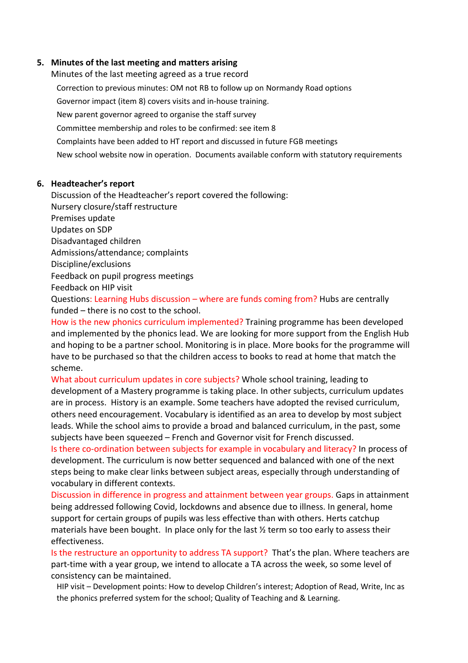### **5. Minutes of the last meeting and matters arising**

Minutes of the last meeting agreed as a true record Correction to previous minutes: OM not RB to follow up on Normandy Road options Governor impact (item 8) covers visits and in-house training. New parent governor agreed to organise the staff survey Committee membership and roles to be confirmed: see item 8 Complaints have been added to HT report and discussed in future FGB meetings New school website now in operation. Documents available conform with statutory requirements

#### **6. Headteacher's report**

Discussion of the Headteacher's report covered the following: Nursery closure/staff restructure Premises update Updates on SDP Disadvantaged children Admissions/attendance; complaints Discipline/exclusions Feedback on pupil progress meetings Feedback on HIP visit

Questions: Learning Hubs discussion – where are funds coming from? Hubs are centrally funded – there is no cost to the school.

How is the new phonics curriculum implemented? Training programme has been developed and implemented by the phonics lead. We are looking for more support from the English Hub and hoping to be a partner school. Monitoring is in place. More books for the programme will have to be purchased so that the children access to books to read at home that match the scheme.

What about curriculum updates in core subjects? Whole school training, leading to development of a Mastery programme is taking place. In other subjects, curriculum updates are in process. History is an example. Some teachers have adopted the revised curriculum, others need encouragement. Vocabulary is identified as an area to develop by most subject leads. While the school aims to provide a broad and balanced curriculum, in the past, some subjects have been squeezed – French and Governor visit for French discussed.

Is there co-ordination between subjects for example in vocabulary and literacy? In process of development. The curriculum is now better sequenced and balanced with one of the next steps being to make clear links between subject areas, especially through understanding of vocabulary in different contexts.

Discussion in difference in progress and attainment between year groups. Gaps in attainment being addressed following Covid, lockdowns and absence due to illness. In general, home support for certain groups of pupils was less effective than with others. Herts catchup materials have been bought. In place only for the last ½ term so too early to assess their effectiveness.

Is the restructure an opportunity to address TA support? That's the plan. Where teachers are part-time with a year group, we intend to allocate a TA across the week, so some level of consistency can be maintained.

HIP visit – Development points: How to develop Children's interest; Adoption of Read, Write, Inc as the phonics preferred system for the school; Quality of Teaching and & Learning.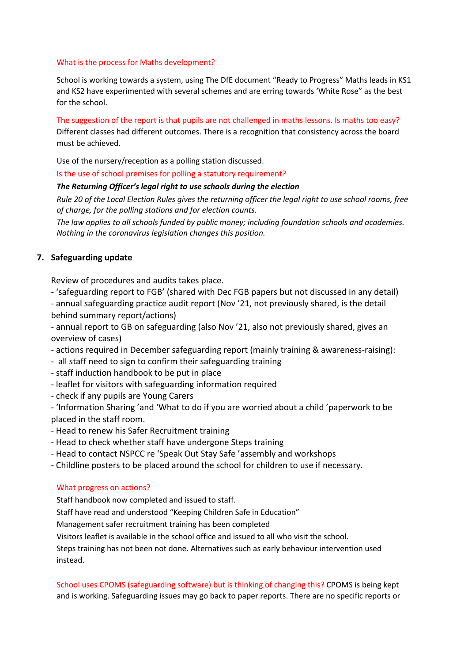#### What is the process for Maths development?

School is working towards a system, using The DfE document "Ready to Progress" Maths leads in KS1 and KS2 have experimented with several schemes and are erring towards 'White Rose" as the best for the school.

The suggestion of the report is that pupils are not challenged in maths lessons. Is maths too easy? Different classes had different outcomes. There is a recognition that consistency across the board must be achieved.

Use of the nursery/reception as a polling station discussed.

Is the use of school premises for polling a statutory requirement?

#### *The Returning Officer's legal right to use schools during the election*

*Rule 20 of the Local Election Rules gives the returning officer the legal right to use school rooms, free of charge, for the polling stations and for election counts.*

*The law applies to all schools funded by public money; including foundation schools and academies. Nothing in the coronavirus legislation changes this position.*

#### **7. Safeguarding update**

Review of procedures and audits takes place.

- 'safeguarding report to FGB' (shared with Dec FGB papers but not discussed in any detail)

- annual safeguarding practice audit report (Nov '21, not previously shared, is the detail behind summary report/actions)

- annual report to GB on safeguarding (also Nov '21, also not previously shared, gives an overview of cases)

- actions required in December safeguarding report (mainly training & awareness-raising):

- all staff need to sign to confirm their safeguarding training

- staff induction handbook to be put in place

- leaflet for visitors with safeguarding information required
- check if any pupils are Young Carers

- 'Information Sharing 'and 'What to do if you are worried about a child 'paperwork to be placed in the staff room.

- Head to renew his Safer Recruitment training
- Head to check whether staff have undergone Steps training
- Head to contact NSPCC re 'Speak Out Stay Safe 'assembly and workshops
- Childline posters to be placed around the school for children to use if necessary.

#### What progress on actions?

Staff handbook now completed and issued to staff.

Staff have read and understood "Keeping Children Safe in Education"

Management safer recruitment training has been completed

Visitors leaflet is available in the school office and issued to all who visit the school.

Steps training has not been not done. Alternatives such as early behaviour intervention used instead.

School uses CPOMS (safeguarding software) but is thinking of changing this? CPOMS is being kept and is working. Safeguarding issues may go back to paper reports. There are no specific reports or